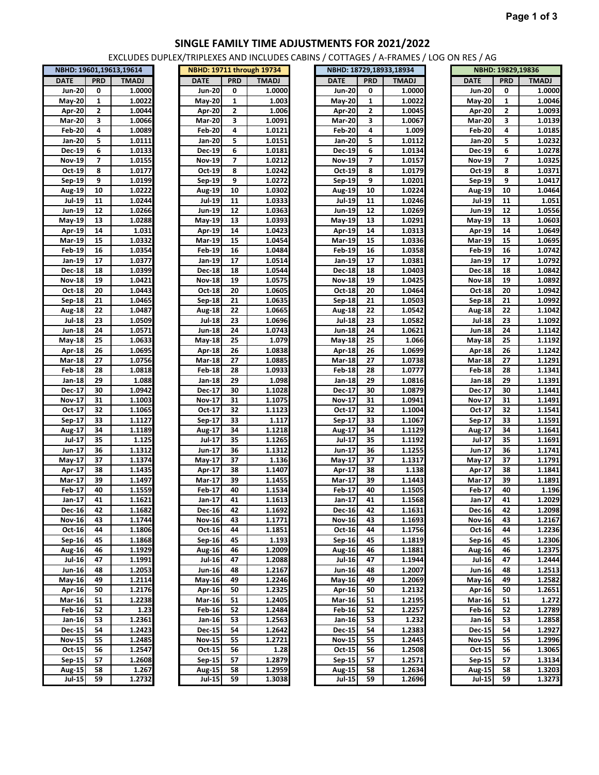## **SINGLE FAMILY TIME ADJUSTMENTS FOR 2021/2022**

EXCLUDES DUPLEX/TRIPLEXES AND INCLUDES CABINS / COTTAGES / A-FRAMES / LOG ON RES / AG

| <b>PRD</b><br><b>TMADJ</b><br><b>DATE</b><br>Jun-20<br>1.0000<br>0<br><b>May-20</b><br>1.0022<br>1<br><b>Apr-20</b><br>2<br>1.0044<br>3<br>1.0066<br>Mar-20<br>Feb-20<br>4<br>1.0089<br>5<br>Jan-20<br>1.0111<br>1.0133<br>Dec-19<br>6<br>Nov-19<br>1.0155<br>7<br>Oct-19<br>1.0177<br>8<br>9<br>Sep-19<br>1.0199<br>1.0222<br>Aug-19<br>10<br>11<br>1.0244<br>Jul-19<br>Jun-19<br>12<br>1.0266<br>May-19<br>13<br>1.0288<br>Apr- $19$<br>14<br>1.031<br>Mar-19<br>15<br>1.0332<br><b>Feb-19</b><br>16<br>1.0354<br>Jan-19<br>17<br>1.0377<br>Dec-18<br>18<br>1.0399<br>Nov-18<br>19<br>1.0421<br>Oct 18<br>1.0443<br>20<br><b>Sep-18</b><br>1.0465<br>21<br>Aug-18<br>22<br>1.0487<br>Jul 18<br>23<br>1.0509<br>Jun-18<br>24<br>1.0571<br>May 18<br>25<br>1.0633<br>1.0695<br><b>Apr-18</b><br>26<br><b>Mar-18</b><br>27<br>1.0756<br>$Feb-18$<br>28<br>1.0818<br>29<br>Jan-18<br>1.088<br>Dec-17<br>1.0942<br>30<br>Nov 17<br>31<br>1.1003<br>Oct-17<br>32<br>1.1065<br>Sep-17<br>1.1127<br>33<br>Aug-17<br>1.1189<br>34<br>1.125<br>Jul-17<br>35<br>1.1312<br>Jun-17<br>36<br>May-17<br>37<br>1.1374<br><b>Apr-17</b><br>1.1435<br>38<br><u>1.1497</u><br>39<br><b>Mar-17</b><br><b>Feb-17</b><br>40<br>1.1559<br><u>Jan-17</u><br>41<br>1.1621<br>Dec-16<br>42<br>1.1682<br><b>Nov-16</b><br>43<br>1.1744<br>Oct-16<br>44<br>1.1806<br>Sep-16<br>45<br>1.1868<br>Aug-16<br>46<br>1.1929<br><b>Jul-16</b><br>47<br>1.1991<br>Jun-16<br>1.2053<br>48<br>49<br><u>May-16</u><br><u>1.2114</u><br>1.2176<br>Apr-16<br>50<br>Mar-16<br>51<br>1.2238<br>Feb-16<br>52<br>1.23<br>Jan-16<br>53<br>1.2361<br><b>Dec-15</b><br>54<br>1.2423<br><b>Nov-15</b><br>55<br>1.2485<br>Oct-15<br>56<br>1.2547<br>57<br>1.2608<br>Sep-15<br>1.267<br>Aug-15<br>58<br>59<br>1.2732 | NBHD: 19601,19613,19614 |  |  |  |  |  |  |  |  |
|---------------------------------------------------------------------------------------------------------------------------------------------------------------------------------------------------------------------------------------------------------------------------------------------------------------------------------------------------------------------------------------------------------------------------------------------------------------------------------------------------------------------------------------------------------------------------------------------------------------------------------------------------------------------------------------------------------------------------------------------------------------------------------------------------------------------------------------------------------------------------------------------------------------------------------------------------------------------------------------------------------------------------------------------------------------------------------------------------------------------------------------------------------------------------------------------------------------------------------------------------------------------------------------------------------------------------------------------------------------------------------------------------------------------------------------------------------------------------------------------------------------------------------------------------------------------------------------------------------------------------------------------------------------------------------------------------------------------------------------------------------------------|-------------------------|--|--|--|--|--|--|--|--|
|                                                                                                                                                                                                                                                                                                                                                                                                                                                                                                                                                                                                                                                                                                                                                                                                                                                                                                                                                                                                                                                                                                                                                                                                                                                                                                                                                                                                                                                                                                                                                                                                                                                                                                                                                                     |                         |  |  |  |  |  |  |  |  |
|                                                                                                                                                                                                                                                                                                                                                                                                                                                                                                                                                                                                                                                                                                                                                                                                                                                                                                                                                                                                                                                                                                                                                                                                                                                                                                                                                                                                                                                                                                                                                                                                                                                                                                                                                                     |                         |  |  |  |  |  |  |  |  |
|                                                                                                                                                                                                                                                                                                                                                                                                                                                                                                                                                                                                                                                                                                                                                                                                                                                                                                                                                                                                                                                                                                                                                                                                                                                                                                                                                                                                                                                                                                                                                                                                                                                                                                                                                                     |                         |  |  |  |  |  |  |  |  |
|                                                                                                                                                                                                                                                                                                                                                                                                                                                                                                                                                                                                                                                                                                                                                                                                                                                                                                                                                                                                                                                                                                                                                                                                                                                                                                                                                                                                                                                                                                                                                                                                                                                                                                                                                                     |                         |  |  |  |  |  |  |  |  |
|                                                                                                                                                                                                                                                                                                                                                                                                                                                                                                                                                                                                                                                                                                                                                                                                                                                                                                                                                                                                                                                                                                                                                                                                                                                                                                                                                                                                                                                                                                                                                                                                                                                                                                                                                                     |                         |  |  |  |  |  |  |  |  |
|                                                                                                                                                                                                                                                                                                                                                                                                                                                                                                                                                                                                                                                                                                                                                                                                                                                                                                                                                                                                                                                                                                                                                                                                                                                                                                                                                                                                                                                                                                                                                                                                                                                                                                                                                                     |                         |  |  |  |  |  |  |  |  |
|                                                                                                                                                                                                                                                                                                                                                                                                                                                                                                                                                                                                                                                                                                                                                                                                                                                                                                                                                                                                                                                                                                                                                                                                                                                                                                                                                                                                                                                                                                                                                                                                                                                                                                                                                                     |                         |  |  |  |  |  |  |  |  |
|                                                                                                                                                                                                                                                                                                                                                                                                                                                                                                                                                                                                                                                                                                                                                                                                                                                                                                                                                                                                                                                                                                                                                                                                                                                                                                                                                                                                                                                                                                                                                                                                                                                                                                                                                                     |                         |  |  |  |  |  |  |  |  |
|                                                                                                                                                                                                                                                                                                                                                                                                                                                                                                                                                                                                                                                                                                                                                                                                                                                                                                                                                                                                                                                                                                                                                                                                                                                                                                                                                                                                                                                                                                                                                                                                                                                                                                                                                                     |                         |  |  |  |  |  |  |  |  |
|                                                                                                                                                                                                                                                                                                                                                                                                                                                                                                                                                                                                                                                                                                                                                                                                                                                                                                                                                                                                                                                                                                                                                                                                                                                                                                                                                                                                                                                                                                                                                                                                                                                                                                                                                                     |                         |  |  |  |  |  |  |  |  |
|                                                                                                                                                                                                                                                                                                                                                                                                                                                                                                                                                                                                                                                                                                                                                                                                                                                                                                                                                                                                                                                                                                                                                                                                                                                                                                                                                                                                                                                                                                                                                                                                                                                                                                                                                                     |                         |  |  |  |  |  |  |  |  |
|                                                                                                                                                                                                                                                                                                                                                                                                                                                                                                                                                                                                                                                                                                                                                                                                                                                                                                                                                                                                                                                                                                                                                                                                                                                                                                                                                                                                                                                                                                                                                                                                                                                                                                                                                                     |                         |  |  |  |  |  |  |  |  |
|                                                                                                                                                                                                                                                                                                                                                                                                                                                                                                                                                                                                                                                                                                                                                                                                                                                                                                                                                                                                                                                                                                                                                                                                                                                                                                                                                                                                                                                                                                                                                                                                                                                                                                                                                                     |                         |  |  |  |  |  |  |  |  |
|                                                                                                                                                                                                                                                                                                                                                                                                                                                                                                                                                                                                                                                                                                                                                                                                                                                                                                                                                                                                                                                                                                                                                                                                                                                                                                                                                                                                                                                                                                                                                                                                                                                                                                                                                                     |                         |  |  |  |  |  |  |  |  |
|                                                                                                                                                                                                                                                                                                                                                                                                                                                                                                                                                                                                                                                                                                                                                                                                                                                                                                                                                                                                                                                                                                                                                                                                                                                                                                                                                                                                                                                                                                                                                                                                                                                                                                                                                                     |                         |  |  |  |  |  |  |  |  |
|                                                                                                                                                                                                                                                                                                                                                                                                                                                                                                                                                                                                                                                                                                                                                                                                                                                                                                                                                                                                                                                                                                                                                                                                                                                                                                                                                                                                                                                                                                                                                                                                                                                                                                                                                                     |                         |  |  |  |  |  |  |  |  |
|                                                                                                                                                                                                                                                                                                                                                                                                                                                                                                                                                                                                                                                                                                                                                                                                                                                                                                                                                                                                                                                                                                                                                                                                                                                                                                                                                                                                                                                                                                                                                                                                                                                                                                                                                                     |                         |  |  |  |  |  |  |  |  |
|                                                                                                                                                                                                                                                                                                                                                                                                                                                                                                                                                                                                                                                                                                                                                                                                                                                                                                                                                                                                                                                                                                                                                                                                                                                                                                                                                                                                                                                                                                                                                                                                                                                                                                                                                                     |                         |  |  |  |  |  |  |  |  |
|                                                                                                                                                                                                                                                                                                                                                                                                                                                                                                                                                                                                                                                                                                                                                                                                                                                                                                                                                                                                                                                                                                                                                                                                                                                                                                                                                                                                                                                                                                                                                                                                                                                                                                                                                                     |                         |  |  |  |  |  |  |  |  |
|                                                                                                                                                                                                                                                                                                                                                                                                                                                                                                                                                                                                                                                                                                                                                                                                                                                                                                                                                                                                                                                                                                                                                                                                                                                                                                                                                                                                                                                                                                                                                                                                                                                                                                                                                                     |                         |  |  |  |  |  |  |  |  |
|                                                                                                                                                                                                                                                                                                                                                                                                                                                                                                                                                                                                                                                                                                                                                                                                                                                                                                                                                                                                                                                                                                                                                                                                                                                                                                                                                                                                                                                                                                                                                                                                                                                                                                                                                                     |                         |  |  |  |  |  |  |  |  |
|                                                                                                                                                                                                                                                                                                                                                                                                                                                                                                                                                                                                                                                                                                                                                                                                                                                                                                                                                                                                                                                                                                                                                                                                                                                                                                                                                                                                                                                                                                                                                                                                                                                                                                                                                                     |                         |  |  |  |  |  |  |  |  |
|                                                                                                                                                                                                                                                                                                                                                                                                                                                                                                                                                                                                                                                                                                                                                                                                                                                                                                                                                                                                                                                                                                                                                                                                                                                                                                                                                                                                                                                                                                                                                                                                                                                                                                                                                                     |                         |  |  |  |  |  |  |  |  |
|                                                                                                                                                                                                                                                                                                                                                                                                                                                                                                                                                                                                                                                                                                                                                                                                                                                                                                                                                                                                                                                                                                                                                                                                                                                                                                                                                                                                                                                                                                                                                                                                                                                                                                                                                                     |                         |  |  |  |  |  |  |  |  |
|                                                                                                                                                                                                                                                                                                                                                                                                                                                                                                                                                                                                                                                                                                                                                                                                                                                                                                                                                                                                                                                                                                                                                                                                                                                                                                                                                                                                                                                                                                                                                                                                                                                                                                                                                                     |                         |  |  |  |  |  |  |  |  |
|                                                                                                                                                                                                                                                                                                                                                                                                                                                                                                                                                                                                                                                                                                                                                                                                                                                                                                                                                                                                                                                                                                                                                                                                                                                                                                                                                                                                                                                                                                                                                                                                                                                                                                                                                                     |                         |  |  |  |  |  |  |  |  |
|                                                                                                                                                                                                                                                                                                                                                                                                                                                                                                                                                                                                                                                                                                                                                                                                                                                                                                                                                                                                                                                                                                                                                                                                                                                                                                                                                                                                                                                                                                                                                                                                                                                                                                                                                                     |                         |  |  |  |  |  |  |  |  |
|                                                                                                                                                                                                                                                                                                                                                                                                                                                                                                                                                                                                                                                                                                                                                                                                                                                                                                                                                                                                                                                                                                                                                                                                                                                                                                                                                                                                                                                                                                                                                                                                                                                                                                                                                                     |                         |  |  |  |  |  |  |  |  |
|                                                                                                                                                                                                                                                                                                                                                                                                                                                                                                                                                                                                                                                                                                                                                                                                                                                                                                                                                                                                                                                                                                                                                                                                                                                                                                                                                                                                                                                                                                                                                                                                                                                                                                                                                                     |                         |  |  |  |  |  |  |  |  |
|                                                                                                                                                                                                                                                                                                                                                                                                                                                                                                                                                                                                                                                                                                                                                                                                                                                                                                                                                                                                                                                                                                                                                                                                                                                                                                                                                                                                                                                                                                                                                                                                                                                                                                                                                                     |                         |  |  |  |  |  |  |  |  |
|                                                                                                                                                                                                                                                                                                                                                                                                                                                                                                                                                                                                                                                                                                                                                                                                                                                                                                                                                                                                                                                                                                                                                                                                                                                                                                                                                                                                                                                                                                                                                                                                                                                                                                                                                                     |                         |  |  |  |  |  |  |  |  |
|                                                                                                                                                                                                                                                                                                                                                                                                                                                                                                                                                                                                                                                                                                                                                                                                                                                                                                                                                                                                                                                                                                                                                                                                                                                                                                                                                                                                                                                                                                                                                                                                                                                                                                                                                                     |                         |  |  |  |  |  |  |  |  |
|                                                                                                                                                                                                                                                                                                                                                                                                                                                                                                                                                                                                                                                                                                                                                                                                                                                                                                                                                                                                                                                                                                                                                                                                                                                                                                                                                                                                                                                                                                                                                                                                                                                                                                                                                                     |                         |  |  |  |  |  |  |  |  |
|                                                                                                                                                                                                                                                                                                                                                                                                                                                                                                                                                                                                                                                                                                                                                                                                                                                                                                                                                                                                                                                                                                                                                                                                                                                                                                                                                                                                                                                                                                                                                                                                                                                                                                                                                                     |                         |  |  |  |  |  |  |  |  |
|                                                                                                                                                                                                                                                                                                                                                                                                                                                                                                                                                                                                                                                                                                                                                                                                                                                                                                                                                                                                                                                                                                                                                                                                                                                                                                                                                                                                                                                                                                                                                                                                                                                                                                                                                                     |                         |  |  |  |  |  |  |  |  |
|                                                                                                                                                                                                                                                                                                                                                                                                                                                                                                                                                                                                                                                                                                                                                                                                                                                                                                                                                                                                                                                                                                                                                                                                                                                                                                                                                                                                                                                                                                                                                                                                                                                                                                                                                                     |                         |  |  |  |  |  |  |  |  |
|                                                                                                                                                                                                                                                                                                                                                                                                                                                                                                                                                                                                                                                                                                                                                                                                                                                                                                                                                                                                                                                                                                                                                                                                                                                                                                                                                                                                                                                                                                                                                                                                                                                                                                                                                                     |                         |  |  |  |  |  |  |  |  |
|                                                                                                                                                                                                                                                                                                                                                                                                                                                                                                                                                                                                                                                                                                                                                                                                                                                                                                                                                                                                                                                                                                                                                                                                                                                                                                                                                                                                                                                                                                                                                                                                                                                                                                                                                                     |                         |  |  |  |  |  |  |  |  |
|                                                                                                                                                                                                                                                                                                                                                                                                                                                                                                                                                                                                                                                                                                                                                                                                                                                                                                                                                                                                                                                                                                                                                                                                                                                                                                                                                                                                                                                                                                                                                                                                                                                                                                                                                                     |                         |  |  |  |  |  |  |  |  |
|                                                                                                                                                                                                                                                                                                                                                                                                                                                                                                                                                                                                                                                                                                                                                                                                                                                                                                                                                                                                                                                                                                                                                                                                                                                                                                                                                                                                                                                                                                                                                                                                                                                                                                                                                                     |                         |  |  |  |  |  |  |  |  |
|                                                                                                                                                                                                                                                                                                                                                                                                                                                                                                                                                                                                                                                                                                                                                                                                                                                                                                                                                                                                                                                                                                                                                                                                                                                                                                                                                                                                                                                                                                                                                                                                                                                                                                                                                                     |                         |  |  |  |  |  |  |  |  |
|                                                                                                                                                                                                                                                                                                                                                                                                                                                                                                                                                                                                                                                                                                                                                                                                                                                                                                                                                                                                                                                                                                                                                                                                                                                                                                                                                                                                                                                                                                                                                                                                                                                                                                                                                                     |                         |  |  |  |  |  |  |  |  |
|                                                                                                                                                                                                                                                                                                                                                                                                                                                                                                                                                                                                                                                                                                                                                                                                                                                                                                                                                                                                                                                                                                                                                                                                                                                                                                                                                                                                                                                                                                                                                                                                                                                                                                                                                                     |                         |  |  |  |  |  |  |  |  |
|                                                                                                                                                                                                                                                                                                                                                                                                                                                                                                                                                                                                                                                                                                                                                                                                                                                                                                                                                                                                                                                                                                                                                                                                                                                                                                                                                                                                                                                                                                                                                                                                                                                                                                                                                                     |                         |  |  |  |  |  |  |  |  |
|                                                                                                                                                                                                                                                                                                                                                                                                                                                                                                                                                                                                                                                                                                                                                                                                                                                                                                                                                                                                                                                                                                                                                                                                                                                                                                                                                                                                                                                                                                                                                                                                                                                                                                                                                                     |                         |  |  |  |  |  |  |  |  |
|                                                                                                                                                                                                                                                                                                                                                                                                                                                                                                                                                                                                                                                                                                                                                                                                                                                                                                                                                                                                                                                                                                                                                                                                                                                                                                                                                                                                                                                                                                                                                                                                                                                                                                                                                                     |                         |  |  |  |  |  |  |  |  |
|                                                                                                                                                                                                                                                                                                                                                                                                                                                                                                                                                                                                                                                                                                                                                                                                                                                                                                                                                                                                                                                                                                                                                                                                                                                                                                                                                                                                                                                                                                                                                                                                                                                                                                                                                                     |                         |  |  |  |  |  |  |  |  |
|                                                                                                                                                                                                                                                                                                                                                                                                                                                                                                                                                                                                                                                                                                                                                                                                                                                                                                                                                                                                                                                                                                                                                                                                                                                                                                                                                                                                                                                                                                                                                                                                                                                                                                                                                                     |                         |  |  |  |  |  |  |  |  |
|                                                                                                                                                                                                                                                                                                                                                                                                                                                                                                                                                                                                                                                                                                                                                                                                                                                                                                                                                                                                                                                                                                                                                                                                                                                                                                                                                                                                                                                                                                                                                                                                                                                                                                                                                                     |                         |  |  |  |  |  |  |  |  |
|                                                                                                                                                                                                                                                                                                                                                                                                                                                                                                                                                                                                                                                                                                                                                                                                                                                                                                                                                                                                                                                                                                                                                                                                                                                                                                                                                                                                                                                                                                                                                                                                                                                                                                                                                                     |                         |  |  |  |  |  |  |  |  |
|                                                                                                                                                                                                                                                                                                                                                                                                                                                                                                                                                                                                                                                                                                                                                                                                                                                                                                                                                                                                                                                                                                                                                                                                                                                                                                                                                                                                                                                                                                                                                                                                                                                                                                                                                                     |                         |  |  |  |  |  |  |  |  |
|                                                                                                                                                                                                                                                                                                                                                                                                                                                                                                                                                                                                                                                                                                                                                                                                                                                                                                                                                                                                                                                                                                                                                                                                                                                                                                                                                                                                                                                                                                                                                                                                                                                                                                                                                                     |                         |  |  |  |  |  |  |  |  |
|                                                                                                                                                                                                                                                                                                                                                                                                                                                                                                                                                                                                                                                                                                                                                                                                                                                                                                                                                                                                                                                                                                                                                                                                                                                                                                                                                                                                                                                                                                                                                                                                                                                                                                                                                                     |                         |  |  |  |  |  |  |  |  |
|                                                                                                                                                                                                                                                                                                                                                                                                                                                                                                                                                                                                                                                                                                                                                                                                                                                                                                                                                                                                                                                                                                                                                                                                                                                                                                                                                                                                                                                                                                                                                                                                                                                                                                                                                                     |                         |  |  |  |  |  |  |  |  |
|                                                                                                                                                                                                                                                                                                                                                                                                                                                                                                                                                                                                                                                                                                                                                                                                                                                                                                                                                                                                                                                                                                                                                                                                                                                                                                                                                                                                                                                                                                                                                                                                                                                                                                                                                                     |                         |  |  |  |  |  |  |  |  |
|                                                                                                                                                                                                                                                                                                                                                                                                                                                                                                                                                                                                                                                                                                                                                                                                                                                                                                                                                                                                                                                                                                                                                                                                                                                                                                                                                                                                                                                                                                                                                                                                                                                                                                                                                                     |                         |  |  |  |  |  |  |  |  |
|                                                                                                                                                                                                                                                                                                                                                                                                                                                                                                                                                                                                                                                                                                                                                                                                                                                                                                                                                                                                                                                                                                                                                                                                                                                                                                                                                                                                                                                                                                                                                                                                                                                                                                                                                                     |                         |  |  |  |  |  |  |  |  |
|                                                                                                                                                                                                                                                                                                                                                                                                                                                                                                                                                                                                                                                                                                                                                                                                                                                                                                                                                                                                                                                                                                                                                                                                                                                                                                                                                                                                                                                                                                                                                                                                                                                                                                                                                                     |                         |  |  |  |  |  |  |  |  |
|                                                                                                                                                                                                                                                                                                                                                                                                                                                                                                                                                                                                                                                                                                                                                                                                                                                                                                                                                                                                                                                                                                                                                                                                                                                                                                                                                                                                                                                                                                                                                                                                                                                                                                                                                                     |                         |  |  |  |  |  |  |  |  |
|                                                                                                                                                                                                                                                                                                                                                                                                                                                                                                                                                                                                                                                                                                                                                                                                                                                                                                                                                                                                                                                                                                                                                                                                                                                                                                                                                                                                                                                                                                                                                                                                                                                                                                                                                                     |                         |  |  |  |  |  |  |  |  |
|                                                                                                                                                                                                                                                                                                                                                                                                                                                                                                                                                                                                                                                                                                                                                                                                                                                                                                                                                                                                                                                                                                                                                                                                                                                                                                                                                                                                                                                                                                                                                                                                                                                                                                                                                                     |                         |  |  |  |  |  |  |  |  |
|                                                                                                                                                                                                                                                                                                                                                                                                                                                                                                                                                                                                                                                                                                                                                                                                                                                                                                                                                                                                                                                                                                                                                                                                                                                                                                                                                                                                                                                                                                                                                                                                                                                                                                                                                                     | Jul-15                  |  |  |  |  |  |  |  |  |

|                            |                 | NBHD: 19711 through 19734 |
|----------------------------|-----------------|---------------------------|
| DATE                       | <b>PRD</b>      | <b>TMADJ</b>              |
| <b>Jun-20</b>              | 0               | 1.0000                    |
| $\overline{\text{May-20}}$ | $\mathbf{1}$    | 1.003                     |
| Apr-20                     | 2               | 1.006                     |
| <b>Mar-20</b>              | 3               | 1.0091                    |
|                            | 4               | 1.0121                    |
| Feb-20                     |                 |                           |
| Jan-20                     | 5               | 1.0151                    |
| Dec-19                     | 6               | 1.0181                    |
| Nov-19                     | 7               | 1.0212                    |
| Oct-19                     | 8               | 1.0242                    |
| Sep-19                     | 9               | 1.0272                    |
| Aug-19                     | 10              | 1.0302                    |
| Jul-19                     | 11              | 1.0333                    |
| Jun-19                     | 12              | 1.0363                    |
| May-19                     | 13              | 1.0393                    |
| Apr-19                     | 14              | 1.0423                    |
|                            |                 |                           |
| Mar-19                     | $\overline{15}$ | 1.0454                    |
| Feb-19                     | 16              | 1.0484                    |
| Jan-19                     | 17              | 1.0514                    |
| Dec-18                     | 18              | 1.0544                    |
| Nov-18                     | 19              | 1.0575                    |
| Oct 18                     | 20              | 1.0605                    |
| Sep-18                     | 21              | 1.0635                    |
| <b>Aug-18</b>              | 22              | 1.0665                    |
| <b>Jul-18</b>              | 23              | 1.0696                    |
|                            |                 |                           |
| Jun-18                     | 24              | 1.0743                    |
| May-18                     | 25              | 1.079                     |
| Apr-18                     | 26              | 1.0838                    |
| <b>Mar-18</b>              | 27              | 1.0885                    |
| Feb-18                     | 28              | 1.0933                    |
| $Jan-18$                   | 29              | 1.098                     |
| Dec-17                     | 30              | 1.1028                    |
| Nov-17                     | 31              | 1.1075                    |
| Oct 17                     | 32              | 1.1123                    |
|                            | 33              | $\overline{1.117}$        |
| Sep-17                     |                 |                           |
| Aug-17                     | 34              | 1.1218                    |
| Jul-17                     | 35              | 1.1265                    |
| Jun-17                     | 36              | 1.1312                    |
| May-17                     | 37              | 1.136                     |
| Apr- $17$                  | 38              | 1.1407                    |
| <b>Mar-17</b>              | 39              | 1.1455                    |
| Feb-17                     | 40              | 1.1534                    |
| Jan-17                     | 41              | 1.1613                    |
| Dec-16                     | 42              | 1.1692                    |
|                            | 43              | 1.1771                    |
| Nov-16                     |                 |                           |
| Oct-16                     | 44              | 1.1851                    |
| Sep-16                     | 45              | 1.193                     |
| Aug-16                     | 46              | 1.2009                    |
| <b>Jul-16</b>              | 47              | 1.2088                    |
| Jun-16                     | 48              | 1.2167                    |
| May-16                     | 49              | 1.2246                    |
| Apr-16                     | 50              | 1.2325                    |
| $Mar-16$                   | 51              | 1.2405                    |
| Feb-16                     | 52              | 1.2484                    |
|                            |                 |                           |
| Jan-16                     | 53              | 1.2563                    |
| Dec-15                     | 54              | 1.2642                    |
| Nov-15                     | 55              | 1.2721                    |
| <u>Oct-15</u>              | 56              | 1.28                      |
| Sep-15                     | 57              | 1.2879                    |
| Aug-15                     | 58              | 1.2959                    |
| Jul-15                     | 59              | 1.3038                    |

|               |                         | NBHD: 19601,19613,19614 |               |                         | NBHD: 19711 through 19734 |               |                         | NBHD: 18729,18933,18934 |               | NBHD: 19829,19836       |              |
|---------------|-------------------------|-------------------------|---------------|-------------------------|---------------------------|---------------|-------------------------|-------------------------|---------------|-------------------------|--------------|
| DATE          | <b>PRD</b>              | <b>TMADJ</b>            | <b>DATE</b>   | <b>PRD</b>              | <b>TMADJ</b>              | <b>DATE</b>   | <b>PRD</b>              | <b>TMADJ</b>            | <b>DATE</b>   | <b>PRD</b>              | <b>TMADJ</b> |
| <b>Jun-20</b> | 0                       | 1.0000                  | <b>Jun-20</b> | 0                       | 1.0000                    | <b>Jun-20</b> | 0                       | 1.0000                  | <b>Jun-20</b> | 0                       | 1.00         |
| May-20        | $\mathbf{1}$            | 1.0022                  | <b>May-20</b> | $\mathbf{1}$            | 1.003                     | May-20        | $\mathbf{1}$            | 1.0022                  | <b>May-20</b> | 1                       | 1.00         |
| Apr 20        | $\mathbf{2}$            | 1.0044                  | Apr-20        | $\mathbf{2}$            | 1.006                     | <b>Apr-20</b> | $\mathbf{2}$            | 1.0045                  | Apr 20        | $\mathbf{z}$            | 1.00         |
| <b>Mar-20</b> | 3                       | 1.0066                  | <b>Mar-20</b> | 3                       | 1.0091                    | <b>Mar-20</b> | 3                       | 1.0067                  | <b>Mar-20</b> | 3                       | 1.01         |
|               |                         |                         |               |                         |                           |               |                         |                         |               |                         |              |
| <b>Feb-20</b> | 4                       | 1.0089                  | <b>Feb-20</b> | 4                       | 1.0121                    | <b>Feb-20</b> | 4                       | 1.009                   | <b>Feb-20</b> | 4                       | 1.01         |
| Jan-20        | 5                       | 1.0111                  | Jan-20        | 5                       | 1.0151                    | Jan-20        | 5                       | 1.0112                  | Jan-20        | 5                       | 1.02         |
| Dec-19        | 6                       | 1.0133                  | <b>Dec-19</b> | 6                       | 1.0181                    | Dec-19        | 6                       | 1.0134                  | Dec-19        | 6                       | 1.02         |
| Nov-19        | $\overline{\mathbf{z}}$ | 1.0155                  | <b>Nov-19</b> | $\overline{\mathbf{z}}$ | 1.0212                    | <b>Nov-19</b> | $\overline{\mathbf{z}}$ | 1.0157                  | <b>Nov-19</b> | $\overline{\mathbf{z}}$ | 1.03         |
| Oct-19        | 8                       | 1.0177                  | Oct-19        | 8                       | 1.0242                    | Oct 19        | 8                       | 1.0179                  | Oct-19        | 8                       | 1.03         |
| Sep-19        | 9                       | 1.0199                  | Sep-19        | 9                       | 1.0272                    | Sep-19        | 9                       | 1.0201                  | Sep-19        | 9                       | 1.04         |
| Aug-19        | 10                      | 1.0222                  | <b>Aug-19</b> | 10                      | 1.0302                    | <b>Aug-19</b> | 10                      | 1.0224                  | <b>Aug-19</b> | 10                      | 1.04         |
|               |                         |                         |               |                         |                           |               |                         |                         |               |                         |              |
| <b>Jul-19</b> | 11                      | 1.0244                  | <b>Jul-19</b> | 11                      | 1.0333                    | Jul-19        | 11                      | 1.0246                  | Jul-19        | 11                      | 1.0          |
| Jun-19        | 12                      | 1.0266                  | Jun-19        | 12                      | 1.0363                    | Jun-19        | 12                      | 1.0269                  | Jun-19        | 12                      | 1.05         |
| May-19        | 13                      | 1.0288                  | May-19        | 13                      | 1.0393                    | May-19        | 13                      | 1.0291                  | May-19        | 13                      | 1.06         |
| Apr-19        | 14                      | 1.031                   | Apr-19        | 14                      | 1.0423                    | Apr-19        | 14                      | 1.0313                  | Apr-19        | 14                      | 1.06         |
| Mar-19        | 15                      | 1.0332                  | <b>Mar-19</b> | 15                      | 1.0454                    | Mar-19        | 15                      | 1.0336                  | <b>Mar-19</b> | 15                      | 1.06         |
| <b>Feb-19</b> | 16                      | 1.0354                  | Feb-19        | 16                      | 1.0484                    | <b>Feb-19</b> | 16                      | 1.0358                  | <b>Feb-19</b> | 16                      | 1.07         |
| Jan-19        | 17                      | 1.0377                  | Jan-19        | 17                      | 1.0514                    | Jan-19        | 17                      | 1.0381                  | Jan-19        | 17                      | 1.07         |
| <b>Dec-18</b> | 18                      | 1.0399                  | <b>Dec-18</b> | 18                      | 1.0544                    | <b>Dec-18</b> | 18                      | 1.0403                  | <b>Dec-18</b> | 18                      | 1.08         |
|               |                         |                         |               |                         |                           |               |                         |                         |               |                         |              |
| <b>Nov-18</b> | 19                      | 1.0421                  | <b>Nov-18</b> | 19                      | 1.0575                    | <b>Nov-18</b> | 19                      | 1.0425                  | <b>Nov-18</b> | 19                      | 1.08         |
| Oct 18        | 20                      | 1.0443                  | Oct-18        | 20                      | 1.0605                    | Oct-18        | 20                      | 1.0464                  | Oct 18        | 20                      | 1.09         |
| Sep-18        | 21                      | 1.0465                  | Sep-18        | 21                      | 1.0635                    | Sep-18        | 21                      | 1.0503                  | Sep-18        | 21                      | 1.09         |
| Aug-18        | 22                      | 1.0487                  | Aug-18        | 22                      | 1.0665                    | Aug-18        | 22                      | 1.0542                  | Aug-18        | 22                      | 1.10         |
| <b>Jul-18</b> | 23                      | 1.0509                  | <b>Jul-18</b> | 23                      | 1.0696                    | <b>Jul-18</b> | 23                      | 1.0582                  | <b>Jul-18</b> | 23                      | 1.10         |
| Jun-18        | 24                      | 1.0571                  | Jun-18        | 24                      | 1.0743                    | Jun-18        | 24                      | 1.0621                  | <b>Jun-18</b> | 24                      | 1.11         |
| May 18        | 25                      | 1.0633                  | May-18        | 25                      | 1.079                     | May-18        | 25                      | 1.066                   | <b>May-18</b> | 25                      | 1.11         |
| Apr-18        | 26                      | 1.0695                  | Apr-18        | 26                      | 1.0838                    | Apr-18        | 26                      | 1.0699                  | Apr-18        | 26                      | 1.12         |
|               | 27                      | 1.0756                  |               | 27                      | 1.0885                    |               | 27                      |                         |               | 27                      |              |
| <b>Mar-18</b> |                         |                         | <b>Mar-18</b> |                         |                           | Mar 18        |                         | 1.0738                  | <b>Mar-18</b> |                         | 1.12         |
| <b>Feb-18</b> | 28                      | 1.0818                  | <b>Feb-18</b> | 28                      | 1.0933                    | <b>Feb-18</b> | 28                      | 1.0777                  | <b>Feb-18</b> | 28                      | 1.13         |
| Jan-18        | 29                      | 1.088                   | Jan-18        | 29                      | 1.098                     | Jan-18        | 29                      | 1.0816                  | Jan-18        | 29                      | 1.13         |
| Dec-17        | 30                      | 1.0942                  | Dec-17        | 30                      | 1.1028                    | Dec-17        | 30                      | 1.0879                  | Dec-17        | 30                      | 1.14         |
| Nov-17        | 31                      | 1.1003                  | <b>Nov-17</b> | 31                      | 1.1075                    | Nov-17        | 31                      | 1.0941                  | <b>Nov-17</b> | 31                      | 1.14         |
| Oct-17        | 32                      | 1.1065                  | Oct-17        | 32                      | 1.1123                    | Oct 17        | 32                      | 1.1004                  | Oct 17        | 32                      | 1.15         |
| Sep-17        | 33                      | 1.1127                  | Sep-17        | 33                      | 1.117                     | Sep-17        | 33                      | 1.1067                  | Sep-17        | 33                      | 1.15         |
| Aug-17        | 34                      | 1.1189                  | Aug-17        | 34                      | 1.1218                    | Aug-17        | 34                      | 1.1129                  | Aug-17        | 34                      | 1.16         |
| <b>Jul-17</b> | 35                      | 1.125                   | <b>Jul-17</b> | 35                      | 1.1265                    | Jul-17        | 35                      | 1.1192                  | Jul-17        | 35                      | 1.16         |
|               | 36                      |                         | Jun-17        | 36                      | 1.1312                    |               |                         | 1.1255                  |               | 36                      |              |
| Jun-17        |                         | 1.1312                  |               |                         |                           | Jun-17        | 36                      |                         | Jun-17        |                         | 1.17         |
| May 17        | 37                      | 1.1374                  | <b>May-17</b> | 37                      | 1.136                     | $May-17$      | 37                      | 1.1317                  | May-17        | 37                      | 1.17         |
| Apr-17        | 38                      | 1.1435                  | Apr-17        | 38                      | 1.1407                    | Apr 17        | 38                      | 1.138                   | Apr-17        | 38                      | 1.18         |
| Mar-17        | 39                      | 1.1497                  | Mar-17        | 39                      | 1.1455                    | Mar-17        | 39                      | 1.1443                  | Mar-17        | 39                      | 1.18         |
| Feb-17        | 40                      | 1.1559                  | Feb-17        | 40                      | 1.1534                    | Feb-17        | 40                      | 1.1505                  | <b>Feb-17</b> | 40                      | 1.1          |
| Jan-17        | 41                      | 1.1621                  | Jan-17        | 41                      | 1.1613                    | Jan-17        | 41                      | 1.1568                  | Jan-17        | 41                      | 1.20         |
| Dec-16        | 42                      | 1.1682                  | <b>Dec-16</b> | 42                      | 1.1692                    | Dec-16        | 42                      | 1.1631                  | Dec-16        | 42                      | 1.20         |
| <b>Nov-16</b> | 43                      | 1.1744                  | <b>Nov-16</b> | 43                      | 1.1771                    | <b>Nov-16</b> | 43                      | 1.1693                  | <b>Nov-16</b> | 43                      | 1.21         |
| Oct 16        | 44                      | 1.1806                  | Oct-16        | 44                      | 1.1851                    | Oct 16        | 44                      | 1.1756                  | Oct-16        | 44                      | 1.22         |
|               |                         |                         |               |                         |                           |               |                         |                         |               |                         |              |
| Sep-16        | 45                      | 1.1868                  | Sep-16        | 45                      | 1.193                     | Sep-16        | 45                      | 1.1819                  | Sep-16        | 45                      | 1.23         |
| Aug-16        | 46                      | 1.1929                  | Aug-16        | 46                      | 1.2009                    | <b>Aug-16</b> | 46                      | 1.1881                  | Aug-16        | 46                      | 1.23         |
| Jul-16        | 47                      | 1.1991                  | <b>Jul-16</b> | 47                      | 1.2088                    | <b>Jul-16</b> | 47                      | 1.1944                  | <b>Jul-16</b> | 47                      | 1.24         |
| Jun-16        | 48                      | 1.2053                  | Jun-16        | 48                      | 1.2167                    | Jun-16        | 48                      | 1.2007                  | Jun-16        | 48                      | 1.25         |
| May-16        | 49                      | 1.2114                  | May-16        | 49                      | 1.2246                    | $May-16$      | 49                      | 1.2069                  | May-16        | 49                      | 1.25         |
| Apr 16        | 50                      | 1.2176                  | Apr 16        | 50                      | 1.2325                    | Apr 16        | 50                      | 1.2132                  | Apr-16        | 50                      | 1.26         |
| Mar-16        | 51                      | 1.2238                  | Mar-16        | 51                      | 1.2405                    | Mar-16        | 51                      | 1.2195                  | <b>Mar-16</b> | 51                      | 1.2          |
| <b>Feb-16</b> | 52                      | 1.23                    | <b>Feb</b> 16 | 52                      | 1.2484                    | Feb 16        | 52                      | 1.2257                  | <b>Feb-16</b> | 52                      | 1.27         |
|               | 53                      |                         | Jan-16        | 53                      | 1.2563                    |               | 53                      |                         | Jan-16        | 53                      |              |
| Jan-16        |                         | 1.2361                  |               |                         |                           | Jan-16        |                         | 1.232                   |               |                         | 1.28         |
| Dec-15        | 54                      | 1.2423                  | <b>Dec-15</b> | 54                      | 1.2642                    | Dec-15        | 54                      | 1.2383                  | Dec-15        | 54                      | 1.29         |
| <b>Nov-15</b> | 55                      | 1.2485                  | <b>Nov-15</b> | 55                      | 1.2721                    | <b>Nov-15</b> | 55                      | 1.2445                  | <b>Nov-15</b> | 55                      | 1.29         |
| Oct 15        | 56                      | 1.2547                  | Oct 15        | 56                      | 1.28                      | Oct 15        | 56                      | 1.2508                  | Oct 15        | 56                      | 1.30         |
| Sep-15        | 57                      | 1.2608                  | Sep-15        | 57                      | 1.2879                    | Sep-15        | 57                      | 1.2571                  | Sep-15        | 57                      | 1.31         |
| Aug-15        | 58                      | 1.267                   | <b>Aug-15</b> | 58                      | 1.2959                    | <b>Aug-15</b> | 58                      | 1.2634                  | Aug-15        | 58                      | 1.32         |
| <b>Jul-15</b> | 59                      | 1.2732                  | <b>Jul-15</b> | 59                      | 1.3038                    | Jul 15        | 59                      | 1.2696                  | <b>Jul-15</b> | 59                      | 1.32         |
|               |                         |                         |               |                         |                           |               |                         |                         |               |                         |              |

|                                |                         | IBHD: 19601,19613,19614 |                                |                          | NBHD: 19711 through 19734 |                         |                         | NBHD: 18729,18933,18934 |                         | NBHD: 19829,19836       |                  |
|--------------------------------|-------------------------|-------------------------|--------------------------------|--------------------------|---------------------------|-------------------------|-------------------------|-------------------------|-------------------------|-------------------------|------------------|
| <b>ATE</b>                     | <b>PRD</b>              | <b>TMADJ</b>            | <b>DATE</b>                    | <b>PRD</b>               | <b>TMADJ</b>              | <b>DATE</b>             | <b>PRD</b>              | <b>TMADJ</b>            | <b>DATE</b>             | <b>PRD</b>              | <b>TMADJ</b>     |
| <b>Jun-20</b>                  | 0                       | 1.0000                  | <b>Jun-20</b>                  | 0                        | 1.0000                    | <b>Jun-20</b>           | 0                       | 1.0000                  | <b>Jun-20</b>           | 0                       | 1.0000           |
| May-20                         | $\mathbf{1}$            | 1.0022                  | <b>May-20</b>                  | $\mathbf{1}$             | 1.003                     | May-20                  | $\mathbf{1}$            | 1.0022                  | May-20                  | $\mathbf{1}$            | 1.0046           |
| Apr-20                         | $\overline{\mathbf{2}}$ | 1.0044                  | Apr 20                         | 2                        | 1.006                     | Apr 20                  | $\mathbf{2}$            | 1.0045                  | Apr-20                  | 2                       | 1.0093           |
| <b>Mar-20</b><br><b>Feb-20</b> | 3<br>4                  | 1.0066<br>1.0089        | <b>Mar-20</b><br><b>Feb-20</b> | 3<br>4                   | 1.0091<br>1.0121          | <b>Mar-20</b>           | 3<br>4                  | 1.0067<br>1.009         | <b>Mar-20</b>           | 3<br>4                  | 1.0139<br>1.0185 |
| Jan-20                         | 5                       | 1.0111                  | Jan-20                         | 5                        | 1.0151                    | <b>Feb-20</b><br>Jan-20 | 5                       | 1.0112                  | <b>Feb-20</b><br>Jan-20 | 5                       | 1.0232           |
| Dec-19                         | 6                       | 1.0133                  | <b>Dec-19</b>                  | 6                        | 1.0181                    | Dec-19                  | 6                       | 1.0134                  | Dec-19                  | 6                       | 1.0278           |
| <b>Nov-19</b>                  | $\overline{\mathbf{z}}$ | 1.0155                  | <b>Nov-19</b>                  | $\overline{\phantom{a}}$ | 1.0212                    | <b>Nov-19</b>           | $\overline{\mathbf{z}}$ | 1.0157                  | Nov-19                  | $\overline{\mathbf{z}}$ | 1.0325           |
| Oct 19                         | 8                       | 1.0177                  | Oct-19                         | 8                        | 1.0242                    | Oct-19                  | 8                       | 1.0179                  | Oct-19                  | 8                       | 1.0371           |
| Sep-19                         | 9                       | 1.0199                  | Sep-19                         | 9                        | 1.0272                    | Sep-19                  | 9                       | 1.0201                  | Sep-19                  | 9                       | 1.0417           |
| Aug-19                         | 10                      | 1.0222                  | Aug-19                         | 10                       | 1.0302                    | <b>Aug-19</b>           | 10                      | 1.0224                  | Aug-19                  | 10                      | 1.0464           |
| Jul-19                         | 11                      | 1.0244                  | <b>Jul-19</b>                  | 11                       | 1.0333                    | Jul-19                  | 11                      | 1.0246                  | Jul-19                  | 11                      | 1.051            |
| Jun-19                         | ${\bf 12}$              | 1.0266                  | Jun-19                         | 12                       | 1.0363                    | Jun-19                  | 12                      | 1.0269                  | Jun-19                  | 12                      | 1.0556           |
| May-19                         | 13                      | 1.0288                  | May-19                         | 13                       | 1.0393                    | May-19                  | 13                      | 1.0291                  | <b>May-19</b>           | 13                      | 1.0603           |
| Apr-19                         | 14                      | 1.031                   | Apr-19                         | 14                       | 1.0423                    | Apr-19                  | 14                      | 1.0313                  | Apr-19                  | 14                      | 1.0649           |
| <b>Mar-19</b>                  | 15                      | 1.0332                  | <b>Mar-19</b>                  | 15                       | 1.0454                    | <b>Mar-19</b>           | 15                      | 1.0336                  | <b>Mar-19</b>           | 15                      | 1.0695           |
| <b>Feb</b> 19<br>Jan-19        | 16<br>17                | 1.0354<br>1.0377        | <b>Feb-19</b><br>Jan-19        | 16<br>17                 | 1.0484<br>1.0514          | <b>Feb-19</b><br>Jan-19 | 16<br>17                | 1.0358<br>1.0381        | <b>Feb-19</b><br>Jan-19 | 16<br>17                | 1.0742<br>1.0792 |
| Dec-18                         | 18                      | 1.0399                  | <b>Dec-18</b>                  | 18                       | 1.0544                    | <b>Dec-18</b>           | 18                      | 1.0403                  | <b>Dec-18</b>           | 18                      | 1.0842           |
| <b>Nov-18</b>                  | 19                      | 1.0421                  | <b>Nov-18</b>                  | 19                       | 1.0575                    | <b>Nov-18</b>           | 19                      | 1.0425                  | <b>Nov-18</b>           | 19                      | 1.0892           |
| Oct-18                         | 20                      | 1.0443                  | Oct-18                         | 20                       | 1.0605                    | Oct-18                  | 20                      | 1.0464                  | Oct 18                  | 20                      | 1.0942           |
| Sep-18                         | 21                      | 1.0465                  | Sep-18                         | 21                       | 1.0635                    | Sep-18                  | 21                      | 1.0503                  | Sep-18                  | 21                      | 1.0992           |
| Aug-18                         | 22                      | 1.0487                  | Aug-18                         | 22                       | 1.0665                    | Aug-18                  | 22                      | 1.0542                  | Aug-18                  | 22                      | 1.1042           |
| <b>Jul-18</b>                  | 23                      | 1.0509                  | <b>Jul-18</b>                  | 23                       | 1.0696                    | <b>Jul-18</b>           | 23                      | 1.0582                  | <b>Jul-18</b>           | 23                      | 1.1092           |
| <b>Jun-18</b>                  | 24                      | 1.0571                  | <b>Jun-18</b>                  | 24                       | 1.0743                    | <b>Jun-18</b>           | 24                      | 1.0621                  | Jun-18                  | 24                      | 1.1142           |
| May-18                         | 25                      | 1.0633                  | May-18                         | 25                       | 1.079                     | May-18                  | 25                      | 1.066                   | May-18                  | 25                      | 1.1192           |
| Apr-18<br><b>Mar-18</b>        | 26<br>27                | 1.0695<br>1.0756        | Apr-18<br><b>Mar-18</b>        | 26<br>27                 | 1.0838<br>1.0885          | Apr-18<br><b>Mar-18</b> | 26<br>27                | 1.0699<br>1.0738        | Apr-18<br><b>Mar-18</b> | 26<br>27                | 1.1242<br>1.1291 |
| <b>Feb 18</b>                  | 28                      | 1.0818                  | <b>Feb-18</b>                  | 28                       | 1.0933                    | <b>Feb-18</b>           | 28                      | 1.0777                  | <b>Feb-18</b>           | 28                      | 1.1341           |
| Jan-18                         | 29                      | 1.088                   | Jan-18                         | 29                       | 1.098                     | Jan-18                  | 29                      | 1.0816                  | Jan-18                  | 29                      | 1.1391           |
| Dec-17                         | 30                      | 1.0942                  | Dec-17                         | 30                       | 1.1028                    | Dec-17                  | 30                      | 1.0879                  | Dec-17                  | 30                      | 1.1441           |
| Nov-17                         | 31                      | 1.1003                  | <b>Nov-17</b>                  | 31                       | 1.1075                    | <b>Nov-17</b>           | 31                      | 1.0941                  | Nov-17                  | 31                      | 1.1491           |
| Oct 17                         | 32                      | 1.1065                  | Oct 17                         | 32                       | 1.1123                    | Oct-17                  | 32                      | 1.1004                  | Oct 17                  | 32                      | 1.1541           |
| Sep-17                         | 33                      | 1.1127                  | Sep-17                         | 33                       | 1.117                     | Sep-17                  | 33                      | 1.1067                  | Sep-17                  | 33                      | 1.1591           |
| Aug-17                         | 34                      | 1.1189                  | Aug-17                         | 34                       | 1.1218                    | Aug-17                  | 34                      | 1.1129                  | Aug-17                  | 34                      | 1.1641           |
| Jul-17<br>Jun-17               | 35<br>36                | 1.125<br>1.1312         | <b>Jul-17</b><br>Jun-17        | 35<br>36                 | 1.1265<br>1.1312          | Jul-17<br>Jun-17        | 35<br>36                | 1.1192<br>1.1255        | Jul-17<br>Jun-17        | 35<br>36                | 1.1691<br>1.1741 |
| May-17                         | 37                      | 1.1374                  | <b>May-17</b>                  | 37                       | 1.136                     | $May-17$                | 37                      | 1.1317                  | May-17                  | 37                      | 1.1791           |
| <b>Apr 17</b>                  | 38                      | 1.1435                  | Apr-17                         | 38                       | 1.1407                    | Apr-17                  | 38                      | 1.138                   | Apr-17                  | 38                      | 1.1841           |
| Mar-17                         | 39                      | 1.1497                  | <b>Mar-17</b>                  | 39                       | 1.1455                    | <b>Mar-17</b>           | 39                      | 1.1443                  | Mar-17                  | 39                      | 1.1891           |
| <b>Feb 17</b>                  | 40                      | 1.1559                  | <b>Feb-17</b>                  | 40                       | 1.1534                    | <b>Feb-17</b>           | 40                      | 1.1505                  | <b>Feb-17</b>           | 40                      | 1.196            |
| Jan-17                         | 41                      | 1.1621                  | Jan-17                         | 41                       | 1.1613                    | Jan 17                  | 41                      | 1.1568                  | Jan-17                  | 41                      | 1.2029           |
| <b>Dec-16</b>                  | 42                      | 1.1682                  | Dec-16                         | 42                       | 1.1692                    | Dec-16                  | 42                      | 1.1631                  | Dec-16                  | 42                      | 1.2098           |
| <b>Nov-16</b>                  | 43                      | 1.1744                  | <b>Nov-16</b>                  | 43                       | 1.1771                    | <b>Nov-16</b>           | 43                      | 1.1693                  | <b>Nov-16</b>           | 43                      | 1.2167           |
| Oct 16                         | 44                      | 1.1806                  | Oct-16                         | 44                       | 1.1851                    | Oct-16                  | 44                      | 1.1756                  | Oct-16                  | 44                      | 1.2236           |
| Sep-16<br><b>Aug-16</b>        | 45<br>46                | 1.1868<br>1.1929        | Sep-16<br><b>Aug-16</b>        | 45<br>46                 | 1.193<br>1.2009           | Sep-16<br>Aug-16        | 45<br>46                | 1.1819<br>1.1881        | Sep-16<br>Aug-16        | 45<br>46                | 1.2306<br>1.2375 |
| <b>Jul-16</b>                  | 47                      | 1.1991                  | <b>Jul-16</b>                  | 47                       | 1.2088                    | <b>Jul-16</b>           | 47                      | 1.1944                  | <b>Jul-16</b>           | 47                      | 1.2444           |
| Jun-16                         | 48                      | 1.2053                  | Jun-16                         | 48                       | 1.2167                    | Jun-16                  | 48                      | 1.2007                  | Jun-16                  | 48                      | 1.2513           |
| May-16                         | 49                      | 1.2114                  | <b>May-16</b>                  | 49                       | 1.2246                    | May-16                  | 49                      | 1.2069                  | May-16                  | 49                      | 1.2582           |
| Apr-16                         | 50                      | 1.2176                  | Apr 16                         | 50                       | 1.2325                    | Apr 16                  | 50                      | 1.2132                  | Apr 16                  | 50                      | 1.2651           |
| Mar-16                         | 51                      | 1.2238                  | <b>Mar-16</b>                  | 51                       | 1.2405                    | Mar-16                  | 51                      | 1.2195                  | <b>Mar-16</b>           | 51                      | 1.272            |
| <b>Feb 16</b>                  | 52                      | 1.23                    | <b>Feb-16</b>                  | 52                       | 1.2484                    | <b>Feb-16</b>           | 52                      | 1.2257                  | <b>Feb-16</b>           | 52                      | 1.2789           |
| Jan-16                         | 53                      | 1.2361                  | Jan-16                         | 53                       | 1.2563                    | Jan-16                  | 53                      | 1.232                   | Jan-16                  | 53                      | 1.2858           |
| Dec-15                         | 54                      | 1.2423                  | Dec-15                         | 54                       | 1.2642                    | Dec-15                  | 54                      | 1.2383                  | Dec-15                  | 54                      | 1.2927           |
| <b>Nov-15</b><br>Oct 15        | 55<br>56                | 1.2485<br>1.2547        | <b>Nov-15</b><br>Oct-15        | 55<br>56                 | 1.2721<br>1.28            | <b>Nov-15</b><br>Oct 15 | 55<br>56                | 1.2445<br>1.2508        | <b>Nov-15</b><br>Oct 15 | 55<br>56                | 1.2996<br>1.3065 |
| Sep-15                         | 57                      | 1.2608                  | Sep-15                         | 57                       | 1.2879                    | Sep-15                  | 57                      | 1.2571                  | Sep-15                  | 57                      | 1.3134           |
| Aug-15                         | 58                      | 1.267                   | Aug-15                         | 58                       | 1.2959                    | Aug-15                  | 58                      | 1.2634                  | Aug-15                  | 58                      | 1.3203           |
| $Jul-15$                       | 59                      | 1.2732                  | <b>Jul-15</b>                  | 59                       | 1.3038                    | Jul-15                  | 59                      | 1.2696                  | <b>Jul-15</b>           | 59                      | 1.3273           |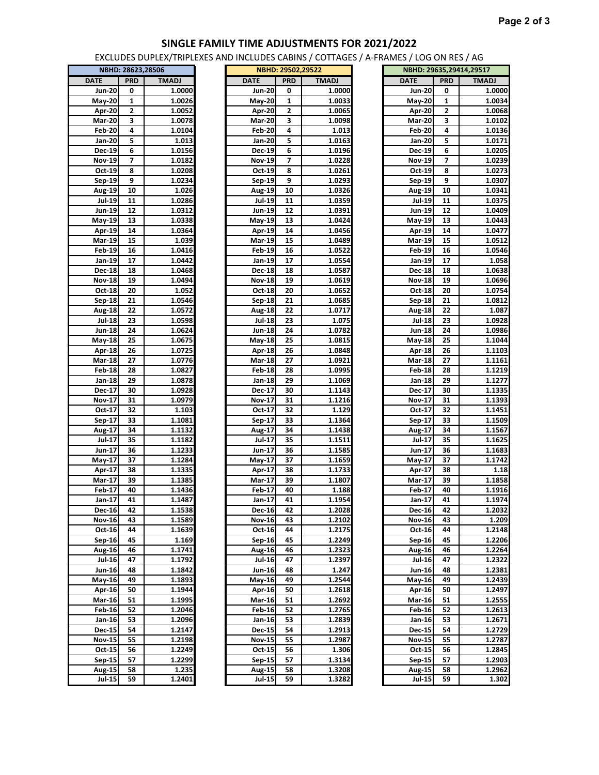## **SINGLE FAMILY TIME ADJUSTMENTS FOR 2021/2022**

EXCLUDES DUPLEX/TRIPLEXES AND INCLUDES CABINS / COTTAGES / A-FRAMES / LOG ON RES / AG

| NBHD: 28623,28506 |                |              |  |  |  |  |  |  |  |
|-------------------|----------------|--------------|--|--|--|--|--|--|--|
| <b>DATE</b>       | <b>PRD</b>     | <b>TMADJ</b> |  |  |  |  |  |  |  |
| Jun-20            | 0              | 1.0000       |  |  |  |  |  |  |  |
| May-20            | 1              | 1.0026       |  |  |  |  |  |  |  |
| Apr-20            | $\overline{2}$ | 1.0052       |  |  |  |  |  |  |  |
| <b>Mar-20</b>     | 3              | 1.0078       |  |  |  |  |  |  |  |
| Feb-20            | 4              | 1.0104       |  |  |  |  |  |  |  |
| Jan-20            | 5              | 1.013        |  |  |  |  |  |  |  |
|                   |                |              |  |  |  |  |  |  |  |
| <b>Dec-19</b>     | 6              | 1.0156       |  |  |  |  |  |  |  |
| Nov-19            | 7              | 1.0182       |  |  |  |  |  |  |  |
| Oct-19            | 8              | 1.0208       |  |  |  |  |  |  |  |
| Sep-19            | 9              | 1.0234       |  |  |  |  |  |  |  |
| Aug-19            | 10             | 1.026        |  |  |  |  |  |  |  |
| Jul-19            | 11             | 1.0286       |  |  |  |  |  |  |  |
| Jun-19            | 12             | 1.0312       |  |  |  |  |  |  |  |
| May-19            | 13             | 1.0338       |  |  |  |  |  |  |  |
| Apr-19            | 14             | 1.0364       |  |  |  |  |  |  |  |
| <b>Mar-19</b>     | 15             | 1.039        |  |  |  |  |  |  |  |
| Feb 19            | 16             | 1.0416       |  |  |  |  |  |  |  |
| Jan-19            | 17             | 1.0442       |  |  |  |  |  |  |  |
|                   | 18             | 1.0468       |  |  |  |  |  |  |  |
| Dec-18            |                |              |  |  |  |  |  |  |  |
| Nov 18            | 19             | 1.0494       |  |  |  |  |  |  |  |
| Oct 18            | 20             | 1.052        |  |  |  |  |  |  |  |
| Sep-18            | 21             | 1.0546       |  |  |  |  |  |  |  |
| Aug-18            | 22             | 1.0572       |  |  |  |  |  |  |  |
| <b>Jul-18</b>     | 23             | 1.0598       |  |  |  |  |  |  |  |
| Jun-18            | 24             | 1.0624       |  |  |  |  |  |  |  |
| May-18            | 25             | 1.0675       |  |  |  |  |  |  |  |
| Apr- $18$         | 26             | 1.0725       |  |  |  |  |  |  |  |
| <b>Mar-18</b>     | 27             | 1.0776       |  |  |  |  |  |  |  |
| Feb-18            | 28             | 1.0827       |  |  |  |  |  |  |  |
| Jan-18            | 29             | 1.0878       |  |  |  |  |  |  |  |
| Dec-17            | 30             | 1.0928       |  |  |  |  |  |  |  |
| <b>Nov-17</b>     | 31             | 1.0979       |  |  |  |  |  |  |  |
|                   |                |              |  |  |  |  |  |  |  |
| Oct 17            | 32             | 1.103        |  |  |  |  |  |  |  |
| Sep-17            | 33             | 1.1081       |  |  |  |  |  |  |  |
| Aug-17            | 34             | 1.1132       |  |  |  |  |  |  |  |
| Jul-17            | 35             | 1.1182       |  |  |  |  |  |  |  |
| Jun-17            | 36             | 1.1233       |  |  |  |  |  |  |  |
| May-17            | 37             | 1.1284       |  |  |  |  |  |  |  |
| Apr-17            | 38             | 1.1335       |  |  |  |  |  |  |  |
| Mar-17            | 39             | 1.1385       |  |  |  |  |  |  |  |
| <b>Feb-17</b>     | 40             | 1.1436       |  |  |  |  |  |  |  |
| Jan-17            | 41             | 1.1487       |  |  |  |  |  |  |  |
| <b>Dec-16</b>     | 42             | 1.1538       |  |  |  |  |  |  |  |
| Nov-16            | 43             | 1.1589       |  |  |  |  |  |  |  |
| Oct-16            | 44             | 1.1639       |  |  |  |  |  |  |  |
|                   |                | 1.169        |  |  |  |  |  |  |  |
| Sep-16            | 45             |              |  |  |  |  |  |  |  |
| Aug-16            | 46             | 1.1741       |  |  |  |  |  |  |  |
| <b>Jul-16</b>     | 47             | 1.1792       |  |  |  |  |  |  |  |
| Jun-16            | 48             | 1.1842       |  |  |  |  |  |  |  |
| May-16            | 49             | 1.1893       |  |  |  |  |  |  |  |
| Apr-16            | 50             | 1.1944       |  |  |  |  |  |  |  |
| <b>Mar-16</b>     | 51             | 1.1995       |  |  |  |  |  |  |  |
| <b>Feb-16</b>     | 52             | 1.2046       |  |  |  |  |  |  |  |
| Jan-16            | 53             | 1.2096       |  |  |  |  |  |  |  |
| <b>Dec-15</b>     | 54             | 1.2147       |  |  |  |  |  |  |  |
| Nov-15            | 55             | 1.2198       |  |  |  |  |  |  |  |
| Oct 15            | 56             | 1.2249       |  |  |  |  |  |  |  |
| Sep-15            | 57             | 1.2299       |  |  |  |  |  |  |  |
|                   |                |              |  |  |  |  |  |  |  |
| Aug-15            | 58             | 1.235        |  |  |  |  |  |  |  |
| Jul-15            | 59             | 1.2401       |  |  |  |  |  |  |  |

|               | NBHD: 28623,28506 |              |               | NBHD: 29502,29522       |              | NBHD: 29635,29414,29517 |              |              |
|---------------|-------------------|--------------|---------------|-------------------------|--------------|-------------------------|--------------|--------------|
| <b>DATE</b>   | <b>PRD</b>        | <b>TMADJ</b> | <b>DATE</b>   | <b>PRD</b>              | <b>TMADJ</b> | <b>DATE</b>             | <b>PRD</b>   | <b>TMADJ</b> |
| <b>Jun-20</b> | 0                 | 1.0000       | <b>Jun-20</b> | 0                       | 1.0000       | <b>Jun-20</b>           | 0            | 1.0000       |
| May-20        | 1                 | 1.0026       | <b>May-20</b> | 1                       | 1.0033       | <b>May-20</b>           | $\mathbf{1}$ | 1.0034       |
| Apr 20        | 2                 | 1.0052       | Apr-20        | 2                       | 1.0065       | Apr-20                  | 2            | 1.0068       |
| <b>Mar-20</b> | 3                 | 1.0078       | <b>Mar-20</b> | 3                       | 1.0098       | <b>Mar-20</b>           | 3            | 1.0102       |
| <b>Feb-20</b> | 4                 | 1.0104       | <b>Feb-20</b> | 4                       | 1.013        | <b>Feb-20</b>           | 4            | 1.0136       |
| Jan-20        | 5                 | 1.013        | Jan-20        | 5                       | 1.0163       | Jan-20                  | 5            | 1.0171       |
| Dec-19        | 6                 | 1.0156       | <b>Dec-19</b> | 6                       | 1.0196       | Dec-19                  | 6            | 1.0205       |
| Nov-19        | 7                 | 1.0182       | <b>Nov-19</b> | $\overline{\mathbf{z}}$ | 1.0228       | <b>Nov-19</b>           | 7            | 1.0239       |
| Oct-19        | 8                 | 1.0208       | Oct-19        | 8                       | 1.0261       | Oct 19                  | 8            | 1.0273       |
| Sep-19        | 9                 | 1.0234       | Sep-19        | 9                       | 1.0293       | Sep-19                  | 9            | 1.0307       |
| Aug-19        | 10                | 1.026        | Aug-19        | 10                      | 1.0326       | Aug-19                  | 10           | 1.0341       |
| $Jul-19$      | 11                | 1.0286       | <b>Jul-19</b> | 11                      | 1.0359       | <b>Jul-19</b>           | 11           | 1.0375       |
| Jun-19        | 12                | 1.0312       | Jun-19        | 12                      | 1.0391       | Jun-19                  | 12           | 1.0409       |
| May-19        | 13                | 1.0338       | May-19        | 13                      | 1.0424       | May-19                  | 13           | 1.0443       |
| Apr-19        | 14                | 1.0364       | Apr-19        | 14                      | 1.0456       | Apr-19                  | 14           | 1.0477       |
| Mar-19        | 15                | 1.039        | <b>Mar-19</b> | 15                      | 1.0489       | Mar-19                  | 15           | 1.0512       |
| Feb-19        | 16                | 1.0416       | <b>Feb-19</b> | 16                      | 1.0522       | Feb-19                  | 16           | 1.0546       |
| Jan-19        | 17                | 1.0442       | Jan-19        | 17                      | 1.0554       | Jan-19                  | 17           | 1.058        |
| <b>Dec-18</b> | 18                | 1.0468       | Dec-18        | 18                      | 1.0587       | Dec-18                  | 18           | 1.0638       |
| <b>Nov-18</b> | 19                | 1.0494       | <b>Nov-18</b> | 19                      | 1.0619       | <b>Nov-18</b>           | 19           | 1.0696       |
| Oct 18        | 20                | 1.052        | Oct-18        | 20                      | 1.0652       | Oct-18                  | 20           | 1.0754       |
| Sep-18        | 21                | 1.0546       | Sep-18        | 21                      | 1.0685       | Sep-18                  | 21           | 1.0812       |
| <b>Aug 18</b> | 22                | 1.0572       | <b>Aug-18</b> | 22                      | 1.0717       | <b>Aug 18</b>           | 22           | 1.087        |
| <b>Jul-18</b> | 23                | 1.0598       | <b>Jul-18</b> | 23                      | 1.075        | <b>Jul-18</b>           | 23           | 1.0928       |
| Jun-18        | 24                | 1.0624       | Jun-18        | 24                      | 1.0782       | Jun-18                  | 24           | 1.0986       |
| <b>May-18</b> | 25                | 1.0675       | <b>May-18</b> | 25                      | 1.0815       | <b>May-18</b>           | 25           | 1.1044       |
| Apr-18        | 26                | 1.0725       | Apr-18        | 26                      | 1.0848       | Apr-18                  | 26           | 1.1103       |
| Mar-18        | 27                | 1.0776       | <b>Mar-18</b> | 27                      | 1.0921       | Mar-18                  | 27           | 1.1161       |
| <b>Feb 18</b> | 28                | 1.0827       | <b>Feb-18</b> | 28                      | 1.0995       | <b>Feb-18</b>           | 28           | 1.1219       |
| Jan-18        | 29                | 1.0878       | Jan-18        | 29                      | 1.1069       | Jan-18                  | 29           | 1.1277       |
| Dec-17        | 30                | 1.0928       | Dec-17        | 30                      | 1.1143       | Dec-17                  | 30           | 1.1335       |
| <b>Nov-17</b> | 31                | 1.0979       | Nov-17        | 31                      | 1.1216       | <b>Nov-17</b>           | 31           | 1.1393       |
| Oct-17        | 32                | 1.103        | Oct-17        | 32                      | 1.129        | Oct 17                  | 32           | 1.1451       |
| Sep-17        | 33                | 1.1081       | Sep-17        | 33                      | 1.1364       | Sep-17                  | 33           | 1.1509       |
| Aug-17        | 34                | 1.1132       | <b>Aug-17</b> | 34                      | 1.1438       | <b>Aug-17</b>           | 34           | 1.1567       |
| Jul-17        | 35                | 1.1182       | Jul-17        | 35                      | 1.1511       | Jul-17                  | 35           | 1.1625       |
| Jun-17        | 36                | 1.1233       | Jun-17        | 36                      | 1.1585       | Jun-17                  | 36           | 1.1683       |
| May-17        | 37                | 1.1284       | May-17        | 37                      | 1.1659       | <b>May-17</b>           | 37           | 1.1742       |
| Apr-17        | 38                | 1.1335       | Apr-17        | 38                      | 1.1733       | Apr-17                  | 38           | 1.18         |
| Mar-17        | 39                | 1.1385       | Mar-17        | 39                      | 1.1807       | Mar-17                  | 39           | 1.1858       |
| Feb-17        | 40                | 1.1436       | Feb-17        | 40                      | 1.188        | Feb-17                  | 40           | 1.1916       |
| Jan-17        | 41                | 1.1487       | Jan-17        | 41                      | 1.1954       | Jan-17                  | 41           | 1.1974       |
| Dec-16        | 42                | 1.1538       | Dec-16        | 42                      | 1.2028       | Dec-16                  | 42           | 1.2032       |
| <b>Nov-16</b> | 43                | 1.1589       | Nov-16        | 43                      | 1.2102       | <b>Nov-16</b>           | 43           | 1.209        |
| Oct- $16$     | 44                | 1.1639       | Oct-16        | 44                      | 1.2175       | Oct-16                  | 44           | 1.2148       |
| Sep-16        | 45                | 1.169        | Sep-16        | 45                      | 1.2249       | Sep-16                  | 45           | 1.2206       |
| Aug-16        | 46                | 1.1741       | <b>Aug-16</b> | 46                      | 1.2323       | Aug-16                  | 46           | 1.2264       |
| Jul 16        | 47                | 1.1792       | <b>Jul-16</b> | 47                      | 1.2397       | <b>Jul-16</b>           | 47           | 1.2322       |
| Jun-16        | 48                | 1.1842       | Jun-16        | 48                      | 1.247        | Jun-16                  | 48           | 1.2381       |
| $May-16$      | 49                | 1.1893       | May-16        | 49                      | 1.2544       | May-16                  | 49           | 1.2439       |
| Apr-16        | 50                | 1.1944       | Apr-16        | 50                      | 1.2618       | Apr 16                  | 50           | 1.2497       |
| Mar-16        | 51                | 1.1995       | Mar-16        | 51                      | 1.2692       | Mar-16                  | 51           | 1.2555       |
| Feb-16        | 52                | 1.2046       | <b>Feb-16</b> | 52                      | 1.2765       | <b>Feb-16</b>           | 52           | 1.2613       |
| Jan-16        | 53                | 1.2096       | Jan-16        | 53                      | 1.2839       | Jan-16                  | 53           | 1.2671       |
| Dec-15        | 54                | 1.2147       | Dec-15        | 54                      | 1.2913       | Dec-15                  | 54           | 1.2729       |
| <b>Nov-15</b> | 55                | 1.2198       | <b>Nov-15</b> | 55                      | 1.2987       | <b>Nov-15</b>           | 55           | 1.2787       |
| Oct 15        | 56                | 1.2249       | Oct 15        | 56                      | 1.306        | Oct 15                  | 56           | 1.2845       |
| Sep-15        | 57                | 1.2299       | Sep-15        | 57                      | 1.3134       | Sep-15                  | 57           | 1.2903       |
| Aug-15        | 58                | 1.235        | Aug-15        | 58                      | 1.3208       | <b>Aug-15</b>           | 58           | 1.2962       |
| $Jul-15$      | 59                | 1.2401       | $Jul-15$      | 59                      | 1.3282       | <b>Jul-15</b>           | 59           | 1.302        |
|               |                   |              |               |                         |              |                         |              |              |

| KAIVIES / LUG UN KES / AG |            |                         |
|---------------------------|------------|-------------------------|
|                           |            | NBHD: 29635,29414,29517 |
| <b>DATE</b>               | <b>PRD</b> | <b>TMADJ</b>            |
| <b>Jun-20</b>             | 0          | 1.0000                  |
| $May-20$                  | 1          | 1.0034                  |
| <b>Apr-20</b>             | 2          | 1.0068                  |
| Mar-20                    | 3          | 1.0102                  |
| Feb-20                    | 4          | 1.0136                  |
| Jan-20                    | 5          | 1.0171                  |
| Dec-19                    | 6          | 1.0205                  |
| Nov-19                    | 7          | 1.0239                  |
| Oct-19                    | 8          | 1.0273                  |
| Sep-19                    | 9          | 1.0307                  |
| Aug-19                    | 10         | 1.0341                  |
| Jul-19                    | 11         | 1.0375                  |
| Jun-19                    | 12         | 1.0409                  |
| May-19                    | 13         | 1.0443                  |
| Apr-19                    | 14         | 1.0477                  |
| Mar-19                    | 15         | 1.0512                  |
| Feb-19                    | 16         | 1.0546                  |
| Jan-19                    | 17         | 1.058                   |
| Dec-18                    | 18         | 1.0638                  |
| Nov-18                    | 19         | 1.0696                  |
| Oct-18                    | 20         | 1.0754                  |
| Sep-18                    | 21         | 1.0812                  |
| Aug-18                    | 22         | 1.087                   |
| <b>Jul-18</b>             | 23         | 1.0928                  |
| Jun-18                    | 24         | 1.0986                  |
| May-18                    | 25         | 1.1044                  |
| Apr-18                    | 26         | 1.1103                  |
| <b>Mar-18</b>             | 27         | 1.1161                  |
| Feb-18                    | 28         | 1.1219                  |
| Jan-18                    | 29         | 1.1277                  |
| Dec-17                    | 30         | 1.1335                  |
| Nov-17                    | 31         | 1.1393                  |
| Oct-17                    | 32         | 1.1451                  |
| Sep-17                    | 33         | 1.1509                  |
| Aug-17                    | 34         | 1.1567                  |
| Jul-17                    | 35         | 1.1625                  |
| Jun-17                    | 36         | 1.1683                  |
| May-17                    | 37         | 1.1742                  |
| Apr-17                    | 38         | 1.18                    |
| Mar-17                    | 39         | 1.1858                  |
| Feb-17                    | 40         | 1.1916                  |
| Jan-17                    | 41         | 1.1974                  |
| Dec-16                    | 42         | 1.2032                  |
| Nov-16                    | 43         | 1.209                   |
| Oct-16                    | 44         | 1.2148                  |
| Sep-16                    | 45         | 1.2206                  |
| Aug-16                    | 46         | 1.2264                  |
| Jul-16                    | 47         | 1.2322                  |
| Jun-16                    | 48         | 1.2381                  |
| May-16                    | 49         | 1.2439                  |
| Apr-16                    | 50         | 1.2497                  |
| Mar-16                    | 51         | 1.2555                  |
| Feb-16                    | 52         | 1.2613                  |
| Jan-16                    | 53         | 1.2671                  |
| <b>Dec-15</b>             | 54         | 1.2729                  |
|                           |            |                         |
| Nov-15                    | 55         | 1.2787                  |
| Oct 15                    | 56<br>57   | 1.2845                  |
| Sep-15                    | 58         | 1.2903<br>1.2962        |
| Aug-15<br>Jul-15          | 59         | 1.302                   |
|                           |            |                         |